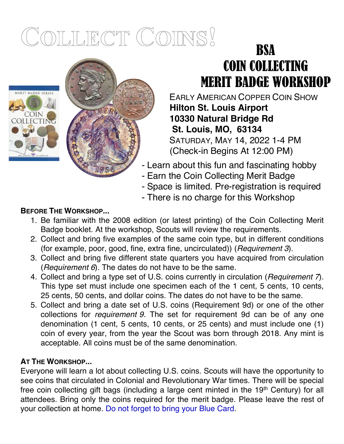# COLLECT COINS!

TEEL

# **BSA** COIN COLLECTING MERIT BADGE WORKSHOP

EARLY AMERICAN COPPER COIN SHOW **Hilton St. Louis Airport 10330 Natural Bridge Rd St. Louis, MO, 63134** SATURDAY, MAY 14, 2022 1-4 PM (Check-in Begins At 12:00 PM)

- Learn about this fun and fascinating hobby
- Earn the Coin Collecting Merit Badge
- Space is limited. Pre-registration is required
- There is no charge for this Workshop

## **BEFORE THE WORKSHOP...**

**IERIT BADGE SERIE** 

**COIN** COLLECTING

- 1. Be familiar with the 2008 edition (or latest printing) of the Coin Collecting Merit Badge booklet. At the workshop, Scouts will review the requirements.
- 2. Collect and bring five examples of the same coin type, but in different conditions (for example, poor, good, fine, extra fine, uncirculated)) (*Requirement 3*).
- 3. Collect and bring five different state quarters you have acquired from circulation (*Requirement 6*). The dates do not have to be the same.
- 4. Collect and bring a type set of U.S. coins currently in circulation (*Requirement 7*). This type set must include one specimen each of the 1 cent, 5 cents, 10 cents, 25 cents, 50 cents, and dollar coins. The dates do not have to be the same.
- 5. Collect and bring a date set of U.S. coins (Requirement 9d) or one of the other collections for *requirement 9*. The set for requirement 9d can be of any one denomination (1 cent, 5 cents, 10 cents, or 25 cents) and must include one (1) coin of every year, from the year the Scout was born through 2018. Any mint is acceptable. All coins must be of the same denomination.

### **AT THE WORKSHOP...**

Everyone will learn a lot about collecting U.S. coins. Scouts will have the opportunity to see coins that circulated in Colonial and Revolutionary War times. There will be special free coin collecting gift bags (including a large cent minted in the 19th Century) for all attendees. Bring only the coins required for the merit badge. Please leave the rest of your collection at home. Do not forget to bring your Blue Card.